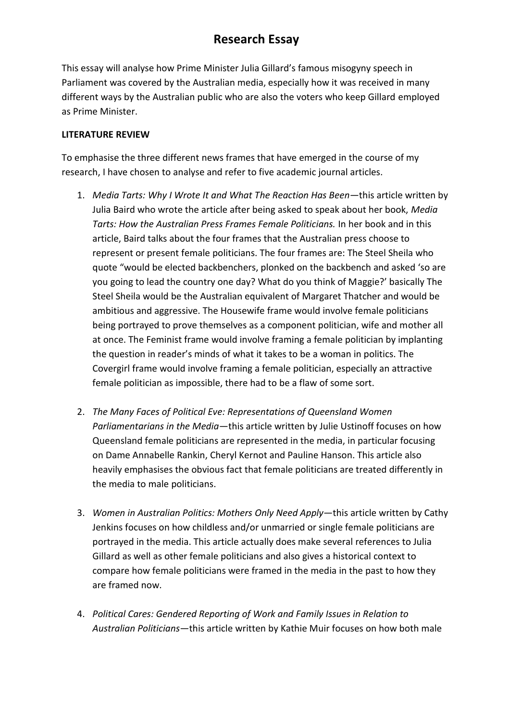This essay will analyse how Prime Minister Julia Gillard's famous misogyny speech in Parliament was covered by the Australian media, especially how it was received in many different ways by the Australian public who are also the voters who keep Gillard employed as Prime Minister.

#### **LITERATURE REVIEW**

To emphasise the three different news frames that have emerged in the course of my research, I have chosen to analyse and refer to five academic journal articles.

- 1. *Media Tarts: Why I Wrote It and What The Reaction Has Been—*this article written by Julia Baird who wrote the article after being asked to speak about her book, *Media Tarts: How the Australian Press Frames Female Politicians.* In her book and in this article, Baird talks about the four frames that the Australian press choose to represent or present female politicians. The four frames are: The Steel Sheila who quote "would be elected backbenchers, plonked on the backbench and asked 'so are you going to lead the country one day? What do you think of Maggie?' basically The Steel Sheila would be the Australian equivalent of Margaret Thatcher and would be ambitious and aggressive. The Housewife frame would involve female politicians being portrayed to prove themselves as a component politician, wife and mother all at once. The Feminist frame would involve framing a female politician by implanting the question in reader's minds of what it takes to be a woman in politics. The Covergirl frame would involve framing a female politician, especially an attractive female politician as impossible, there had to be a flaw of some sort.
- 2. *The Many Faces of Political Eve: Representations of Queensland Women Parliamentarians in the Media—*this article written by Julie Ustinoff focuses on how Queensland female politicians are represented in the media, in particular focusing on Dame Annabelle Rankin, Cheryl Kernot and Pauline Hanson. This article also heavily emphasises the obvious fact that female politicians are treated differently in the media to male politicians.
- 3. *Women in Australian Politics: Mothers Only Need Apply—*this article written by Cathy Jenkins focuses on how childless and/or unmarried or single female politicians are portrayed in the media. This article actually does make several references to Julia Gillard as well as other female politicians and also gives a historical context to compare how female politicians were framed in the media in the past to how they are framed now.
- 4. *Political Cares: Gendered Reporting of Work and Family Issues in Relation to Australian Politicians—*this article written by Kathie Muir focuses on how both male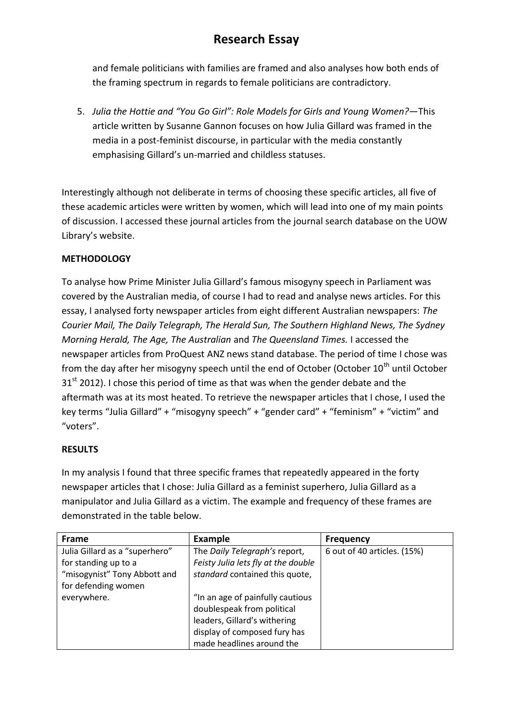and female politicians with families are framed and also analyses how both ends of the framing spectrum in regards to female politicians are contradictory.

5. *Julia the Hottie and "You Go Girl": Role Models for Girls and Young Women?—*This article written by Susanne Gannon focuses on how Julia Gillard was framed in the media in a post-feminist discourse, in particular with the media constantly emphasising Gillard's un-married and childless statuses.

Interestingly although not deliberate in terms of choosing these specific articles, all five of these academic articles were written by women, which will lead into one of my main points of discussion. I accessed these journal articles from the journal search database on the UOW Library's website.

### **METHODOLOGY**

To analyse how Prime Minister Julia Gillard's famous misogyny speech in Parliament was covered by the Australian media, of course I had to read and analyse news articles. For this essay, I analysed forty newspaper articles from eight different Australian newspapers: *The Courier Mail, The Daily Telegraph, The Herald Sun, The Southern Highland News, The Sydney Morning Herald, The Age, The Australian* and *The Queensland Times.* I accessed the newspaper articles from ProQuest ANZ news stand database. The period of time I chose was from the day after her misogyny speech until the end of October (October  $10<sup>th</sup>$  until October  $31<sup>st</sup>$  2012). I chose this period of time as that was when the gender debate and the aftermath was at its most heated. To retrieve the newspaper articles that I chose, I used the key terms "Julia Gillard" + "misogyny speech" + "gender card" + "feminism" + "victim" and "voters".

#### **RESULTS**

In my analysis I found that three specific frames that repeatedly appeared in the forty newspaper articles that I chose: Julia Gillard as a feminist superhero, Julia Gillard as a manipulator and Julia Gillard as a victim. The example and frequency of these frames are demonstrated in the table below.

| <b>Frame</b>                   | Example                             | <b>Frequency</b>            |
|--------------------------------|-------------------------------------|-----------------------------|
| Julia Gillard as a "superhero" | The Daily Telegraph's report,       | 6 out of 40 articles. (15%) |
| for standing up to a           | Feisty Julia lets fly at the double |                             |
| "misogynist" Tony Abbott and   | standard contained this quote,      |                             |
| for defending women            |                                     |                             |
| everywhere.                    | "In an age of painfully cautious    |                             |
|                                | doublespeak from political          |                             |
|                                | leaders, Gillard's withering        |                             |
|                                | display of composed fury has        |                             |
|                                | made headlines around the           |                             |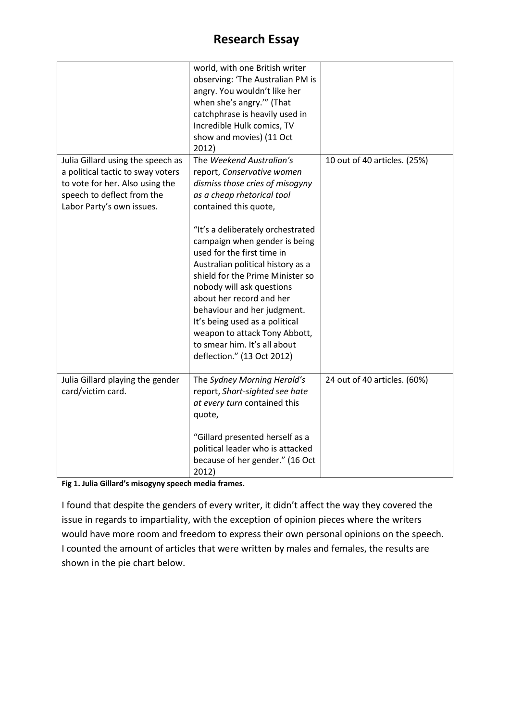|                                                                                                                                                                      | world, with one British writer<br>observing: 'The Australian PM is<br>angry. You wouldn't like her<br>when she's angry."" (That<br>catchphrase is heavily used in<br>Incredible Hulk comics, TV<br>show and movies) (11 Oct<br>2012)                                                                                                                          |                              |
|----------------------------------------------------------------------------------------------------------------------------------------------------------------------|---------------------------------------------------------------------------------------------------------------------------------------------------------------------------------------------------------------------------------------------------------------------------------------------------------------------------------------------------------------|------------------------------|
| Julia Gillard using the speech as<br>a political tactic to sway voters<br>to vote for her. Also using the<br>speech to deflect from the<br>Labor Party's own issues. | The Weekend Australian's<br>report, Conservative women<br>dismiss those cries of misogyny<br>as a cheap rhetorical tool<br>contained this quote,<br>"It's a deliberately orchestrated                                                                                                                                                                         | 10 out of 40 articles. (25%) |
|                                                                                                                                                                      | campaign when gender is being<br>used for the first time in<br>Australian political history as a<br>shield for the Prime Minister so<br>nobody will ask questions<br>about her record and her<br>behaviour and her judgment.<br>It's being used as a political<br>weapon to attack Tony Abbott,<br>to smear him. It's all about<br>deflection." (13 Oct 2012) |                              |
| Julia Gillard playing the gender<br>card/victim card.                                                                                                                | The Sydney Morning Herald's<br>report, Short-sighted see hate<br>at every turn contained this<br>quote,<br>"Gillard presented herself as a                                                                                                                                                                                                                    | 24 out of 40 articles. (60%) |
|                                                                                                                                                                      | political leader who is attacked<br>because of her gender." (16 Oct<br>2012)                                                                                                                                                                                                                                                                                  |                              |

**Fig 1. Julia Gillard's misogyny speech media frames.**

I found that despite the genders of every writer, it didn't affect the way they covered the issue in regards to impartiality, with the exception of opinion pieces where the writers would have more room and freedom to express their own personal opinions on the speech. I counted the amount of articles that were written by males and females, the results are shown in the pie chart below.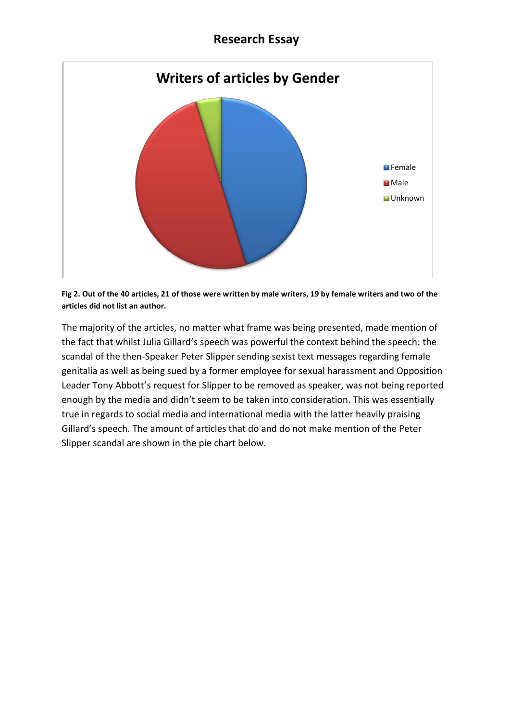

**Fig 2. Out of the 40 articles, 21 of those were written by male writers, 19 by female writers and two of the articles did not list an author.**

The majority of the articles, no matter what frame was being presented, made mention of the fact that whilst Julia Gillard's speech was powerful the context behind the speech: the scandal of the then-Speaker Peter Slipper sending sexist text messages regarding female genitalia as well as being sued by a former employee for sexual harassment and Opposition Leader Tony Abbott's request for Slipper to be removed as speaker, was not being reported enough by the media and didn't seem to be taken into consideration. This was essentially true in regards to social media and international media with the latter heavily praising Gillard's speech. The amount of articles that do and do not make mention of the Peter Slipper scandal are shown in the pie chart below.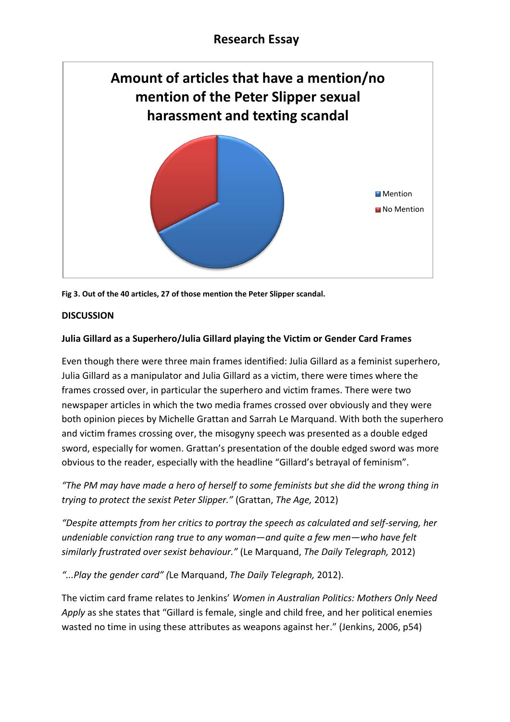

**Fig 3. Out of the 40 articles, 27 of those mention the Peter Slipper scandal.**

#### **DISCUSSION**

#### **Julia Gillard as a Superhero/Julia Gillard playing the Victim or Gender Card Frames**

Even though there were three main frames identified: Julia Gillard as a feminist superhero, Julia Gillard as a manipulator and Julia Gillard as a victim, there were times where the frames crossed over, in particular the superhero and victim frames. There were two newspaper articles in which the two media frames crossed over obviously and they were both opinion pieces by Michelle Grattan and Sarrah Le Marquand. With both the superhero and victim frames crossing over, the misogyny speech was presented as a double edged sword, especially for women. Grattan's presentation of the double edged sword was more obvious to the reader, especially with the headline "Gillard's betrayal of feminism".

*"The PM may have made a hero of herself to some feminists but she did the wrong thing in trying to protect the sexist Peter Slipper."* (Grattan, *The Age,* 2012)

*"Despite attempts from her critics to portray the speech as calculated and self-serving, her undeniable conviction rang true to any woman—and quite a few men—who have felt similarly frustrated over sexist behaviour."* (Le Marquand, *The Daily Telegraph,* 2012)

*"...Play the gender card" (*Le Marquand, *The Daily Telegraph,* 2012).

The victim card frame relates to Jenkins' *Women in Australian Politics: Mothers Only Need Apply* as she states that "Gillard is female, single and child free, and her political enemies wasted no time in using these attributes as weapons against her." (Jenkins, 2006, p54)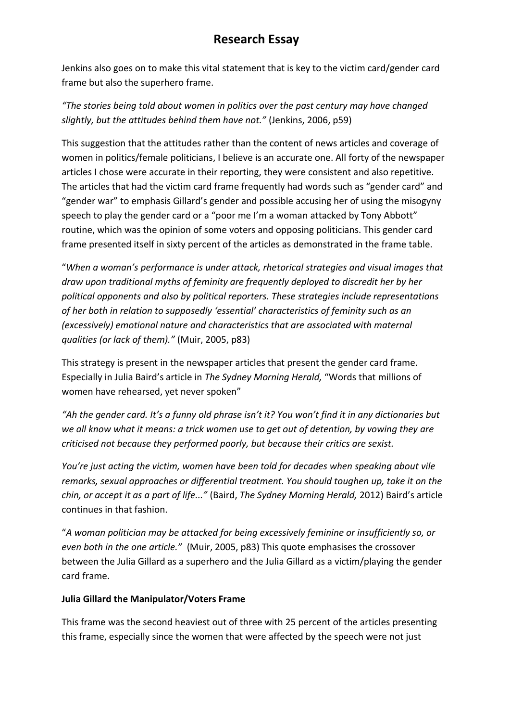Jenkins also goes on to make this vital statement that is key to the victim card/gender card frame but also the superhero frame.

*"The stories being told about women in politics over the past century may have changed slightly, but the attitudes behind them have not."* (Jenkins, 2006, p59)

This suggestion that the attitudes rather than the content of news articles and coverage of women in politics/female politicians, I believe is an accurate one. All forty of the newspaper articles I chose were accurate in their reporting, they were consistent and also repetitive. The articles that had the victim card frame frequently had words such as "gender card" and "gender war" to emphasis Gillard's gender and possible accusing her of using the misogyny speech to play the gender card or a "poor me I'm a woman attacked by Tony Abbott" routine, which was the opinion of some voters and opposing politicians. This gender card frame presented itself in sixty percent of the articles as demonstrated in the frame table.

"*When a woman's performance is under attack, rhetorical strategies and visual images that draw upon traditional myths of feminity are frequently deployed to discredit her by her political opponents and also by political reporters. These strategies include representations of her both in relation to supposedly 'essential' characteristics of feminity such as an (excessively) emotional nature and characteristics that are associated with maternal qualities (or lack of them)."* (Muir, 2005, p83)

This strategy is present in the newspaper articles that present the gender card frame. Especially in Julia Baird's article in *The Sydney Morning Herald,* "Words that millions of women have rehearsed, yet never spoken"

*"Ah the gender card. It's a funny old phrase isn't it? You won't find it in any dictionaries but we all know what it means: a trick women use to get out of detention, by vowing they are criticised not because they performed poorly, but because their critics are sexist.*

*You're just acting the victim, women have been told for decades when speaking about vile remarks, sexual approaches or differential treatment. You should toughen up, take it on the chin, or accept it as a part of life..."* (Baird, *The Sydney Morning Herald,* 2012) Baird's article continues in that fashion.

"*A woman politician may be attacked for being excessively feminine or insufficiently so, or even both in the one article."* (Muir, 2005, p83) This quote emphasises the crossover between the Julia Gillard as a superhero and the Julia Gillard as a victim/playing the gender card frame.

### **Julia Gillard the Manipulator/Voters Frame**

This frame was the second heaviest out of three with 25 percent of the articles presenting this frame, especially since the women that were affected by the speech were not just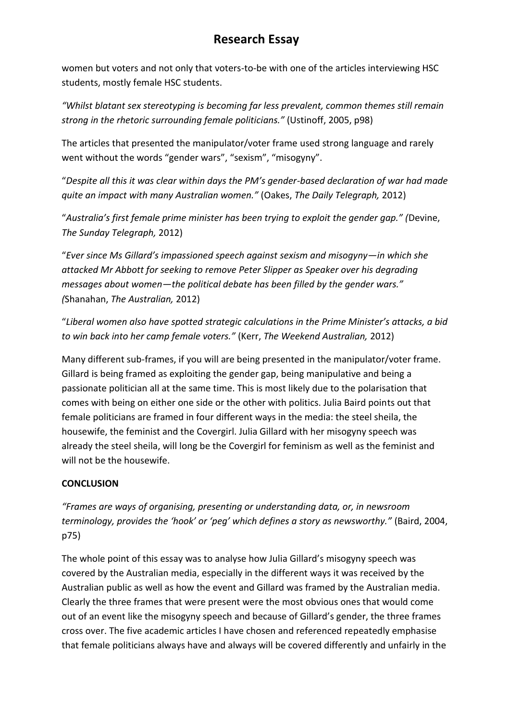women but voters and not only that voters-to-be with one of the articles interviewing HSC students, mostly female HSC students.

*"Whilst blatant sex stereotyping is becoming far less prevalent, common themes still remain strong in the rhetoric surrounding female politicians."* (Ustinoff, 2005, p98)

The articles that presented the manipulator/voter frame used strong language and rarely went without the words "gender wars", "sexism", "misogyny".

"*Despite all this it was clear within days the PM's gender-based declaration of war had made quite an impact with many Australian women."* (Oakes, *The Daily Telegraph,* 2012)

"*Australia's first female prime minister has been trying to exploit the gender gap." (*Devine, *The Sunday Telegraph,* 2012)

"*Ever since Ms Gillard's impassioned speech against sexism and misogyny—in which she attacked Mr Abbott for seeking to remove Peter Slipper as Speaker over his degrading messages about women—the political debate has been filled by the gender wars." (*Shanahan, *The Australian,* 2012)

"*Liberal women also have spotted strategic calculations in the Prime Minister's attacks, a bid to win back into her camp female voters."* (Kerr, *The Weekend Australian,* 2012)

Many different sub-frames, if you will are being presented in the manipulator/voter frame. Gillard is being framed as exploiting the gender gap, being manipulative and being a passionate politician all at the same time. This is most likely due to the polarisation that comes with being on either one side or the other with politics. Julia Baird points out that female politicians are framed in four different ways in the media: the steel sheila, the housewife, the feminist and the Covergirl. Julia Gillard with her misogyny speech was already the steel sheila, will long be the Covergirl for feminism as well as the feminist and will not be the housewife.

### **CONCLUSION**

*"Frames are ways of organising, presenting or understanding data, or, in newsroom terminology, provides the 'hook' or 'peg' which defines a story as newsworthy."* (Baird, 2004, p75)

The whole point of this essay was to analyse how Julia Gillard's misogyny speech was covered by the Australian media, especially in the different ways it was received by the Australian public as well as how the event and Gillard was framed by the Australian media. Clearly the three frames that were present were the most obvious ones that would come out of an event like the misogyny speech and because of Gillard's gender, the three frames cross over. The five academic articles I have chosen and referenced repeatedly emphasise that female politicians always have and always will be covered differently and unfairly in the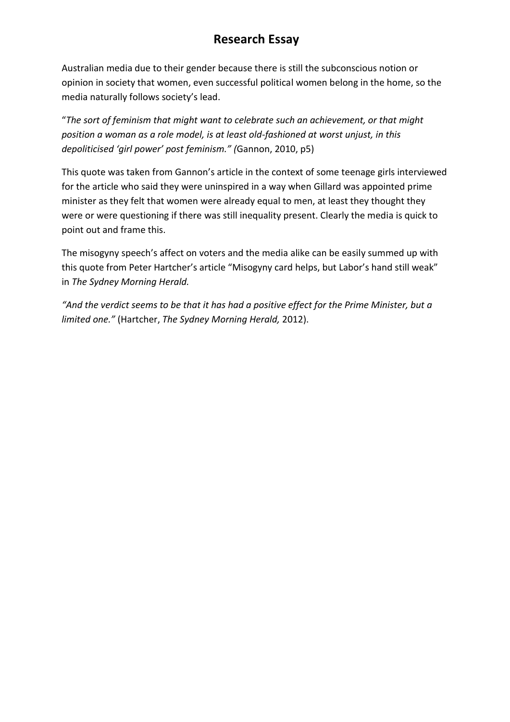Australian media due to their gender because there is still the subconscious notion or opinion in society that women, even successful political women belong in the home, so the media naturally follows society's lead.

"*The sort of feminism that might want to celebrate such an achievement, or that might position a woman as a role model, is at least old-fashioned at worst unjust, in this depoliticised 'girl power' post feminism." (*Gannon, 2010, p5)

This quote was taken from Gannon's article in the context of some teenage girls interviewed for the article who said they were uninspired in a way when Gillard was appointed prime minister as they felt that women were already equal to men, at least they thought they were or were questioning if there was still inequality present. Clearly the media is quick to point out and frame this.

The misogyny speech's affect on voters and the media alike can be easily summed up with this quote from Peter Hartcher's article "Misogyny card helps, but Labor's hand still weak" in *The Sydney Morning Herald.*

*"And the verdict seems to be that it has had a positive effect for the Prime Minister, but a limited one."* (Hartcher, *The Sydney Morning Herald,* 2012).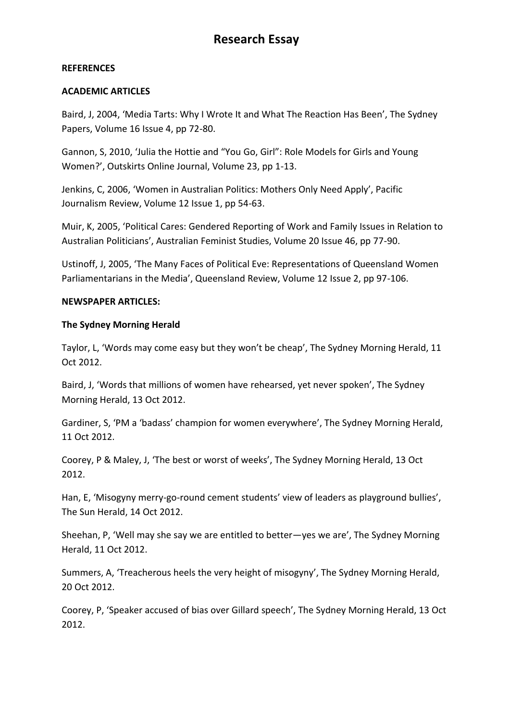#### **REFERENCES**

#### **ACADEMIC ARTICLES**

Baird, J, 2004, 'Media Tarts: Why I Wrote It and What The Reaction Has Been', The Sydney Papers, Volume 16 Issue 4, pp 72-80.

Gannon, S, 2010, 'Julia the Hottie and "You Go, Girl": Role Models for Girls and Young Women?', Outskirts Online Journal, Volume 23, pp 1-13.

Jenkins, C, 2006, 'Women in Australian Politics: Mothers Only Need Apply', Pacific Journalism Review, Volume 12 Issue 1, pp 54-63.

Muir, K, 2005, 'Political Cares: Gendered Reporting of Work and Family Issues in Relation to Australian Politicians', Australian Feminist Studies, Volume 20 Issue 46, pp 77-90.

Ustinoff, J, 2005, 'The Many Faces of Political Eve: Representations of Queensland Women Parliamentarians in the Media', Queensland Review, Volume 12 Issue 2, pp 97-106.

#### **NEWSPAPER ARTICLES:**

#### **The Sydney Morning Herald**

Taylor, L, 'Words may come easy but they won't be cheap', The Sydney Morning Herald, 11 Oct 2012.

Baird, J, 'Words that millions of women have rehearsed, yet never spoken', The Sydney Morning Herald, 13 Oct 2012.

Gardiner, S, 'PM a 'badass' champion for women everywhere', The Sydney Morning Herald, 11 Oct 2012.

Coorey, P & Maley, J, 'The best or worst of weeks', The Sydney Morning Herald, 13 Oct 2012.

Han, E, 'Misogyny merry-go-round cement students' view of leaders as playground bullies', The Sun Herald, 14 Oct 2012.

Sheehan, P, 'Well may she say we are entitled to better—yes we are', The Sydney Morning Herald, 11 Oct 2012.

Summers, A, 'Treacherous heels the very height of misogyny', The Sydney Morning Herald, 20 Oct 2012.

Coorey, P, 'Speaker accused of bias over Gillard speech', The Sydney Morning Herald, 13 Oct 2012.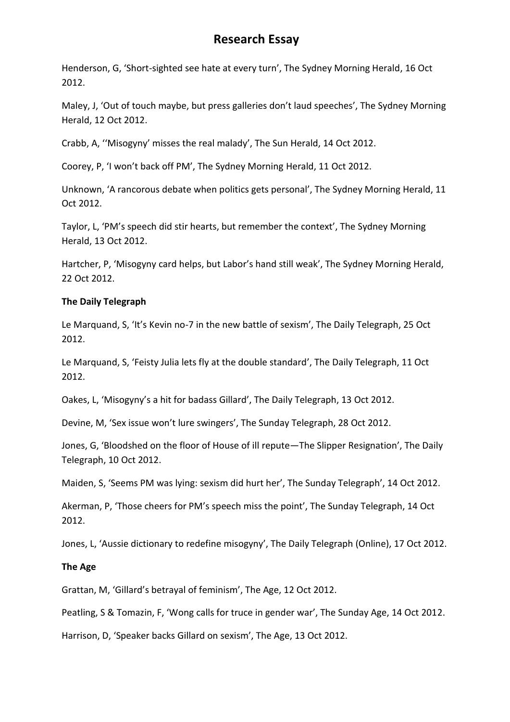Henderson, G, 'Short-sighted see hate at every turn', The Sydney Morning Herald, 16 Oct 2012.

Maley, J, 'Out of touch maybe, but press galleries don't laud speeches', The Sydney Morning Herald, 12 Oct 2012.

Crabb, A, ''Misogyny' misses the real malady', The Sun Herald, 14 Oct 2012.

Coorey, P, 'I won't back off PM', The Sydney Morning Herald, 11 Oct 2012.

Unknown, 'A rancorous debate when politics gets personal', The Sydney Morning Herald, 11 Oct 2012.

Taylor, L, 'PM's speech did stir hearts, but remember the context', The Sydney Morning Herald, 13 Oct 2012.

Hartcher, P, 'Misogyny card helps, but Labor's hand still weak', The Sydney Morning Herald, 22 Oct 2012.

#### **The Daily Telegraph**

Le Marquand, S, 'It's Kevin no-7 in the new battle of sexism', The Daily Telegraph, 25 Oct 2012.

Le Marquand, S, 'Feisty Julia lets fly at the double standard', The Daily Telegraph, 11 Oct 2012.

Oakes, L, 'Misogyny's a hit for badass Gillard', The Daily Telegraph, 13 Oct 2012.

Devine, M, 'Sex issue won't lure swingers', The Sunday Telegraph, 28 Oct 2012.

Jones, G, 'Bloodshed on the floor of House of ill repute—The Slipper Resignation', The Daily Telegraph, 10 Oct 2012.

Maiden, S, 'Seems PM was lying: sexism did hurt her', The Sunday Telegraph', 14 Oct 2012.

Akerman, P, 'Those cheers for PM's speech miss the point', The Sunday Telegraph, 14 Oct 2012.

Jones, L, 'Aussie dictionary to redefine misogyny', The Daily Telegraph (Online), 17 Oct 2012.

#### **The Age**

Grattan, M, 'Gillard's betrayal of feminism', The Age, 12 Oct 2012.

Peatling, S & Tomazin, F, 'Wong calls for truce in gender war', The Sunday Age, 14 Oct 2012.

Harrison, D, 'Speaker backs Gillard on sexism', The Age, 13 Oct 2012.